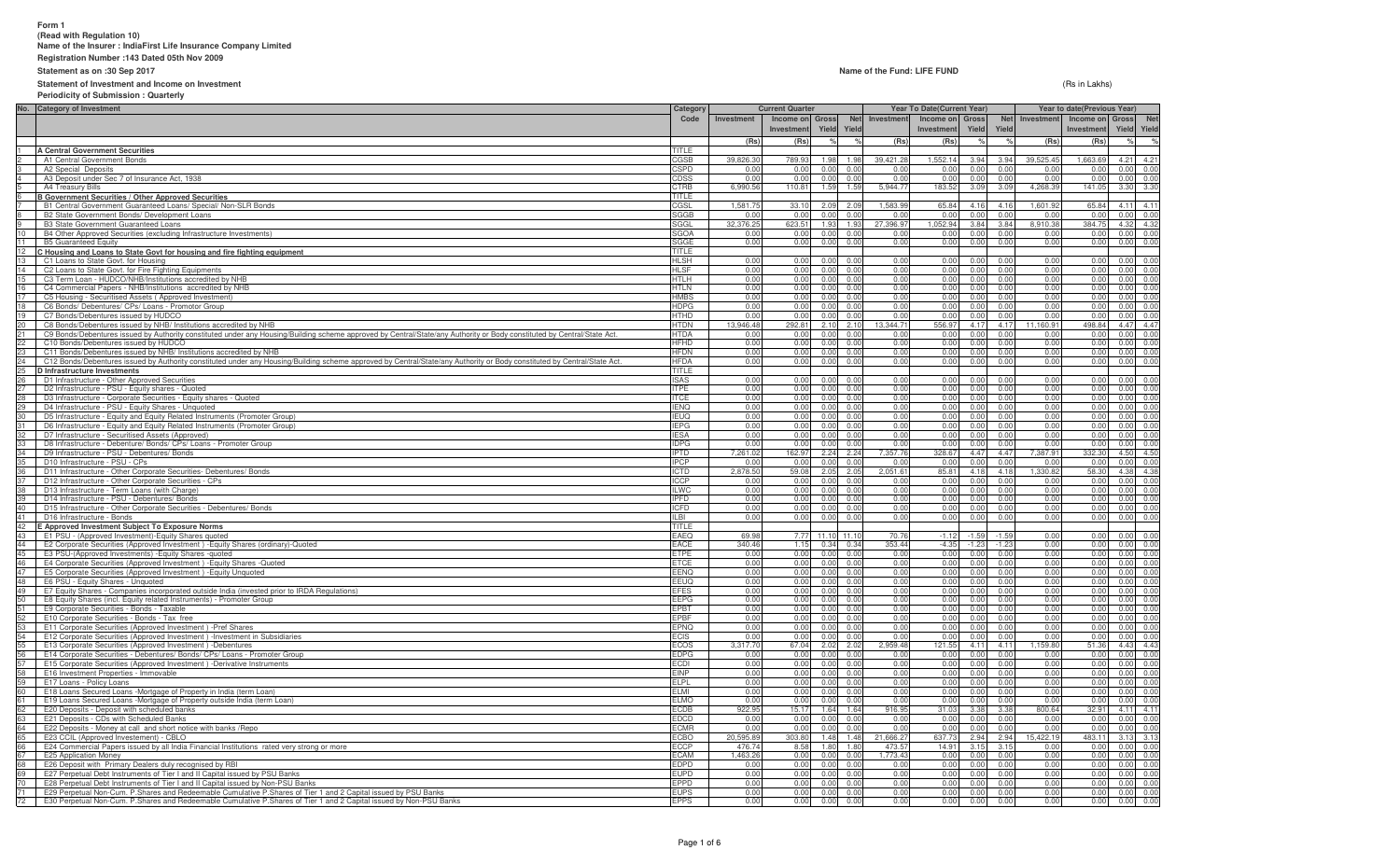#### **Form 1 (Read with Regulation 10)Name of the Insurer : IndiaFirst Life Insurance Company Limited**

**Registration Number :143 Dated 05th Nov 2009**

#### **Statement as on :30 Sep 2017**

**Statement of Investment and Income on Investment**

# **Periodicity of Submission : Quarterly**

#### **Name of the Fund: LIFE FUND**

(Rs in Lakhs)

**No. Category of InvestmentInvestment Income on InvestmentGross Yield** $\frac{1}{2}$ **Ne Yield Investment Income on InvestmentGross Yield** $\frac{1}{2}$ **Net Yield** $\frac{1}{2}$ **Investment Income onInvestment Gross Yield** $\sim$ **Ne Yield(Rs) (Rs) % % (Rs) (Rs) % % (Rs) (Rs) % %**1 **A Central Government Securities** TITLECGSB A1 Central Government Bonds s and the contract of the contract of the contract of the contract of the contract of the contract of the contract of  $\overline{C}$ GSB 39,826.30 789.93 1.98 1.98 39,421.28 1,552.14 3.94 3.94 39,525.45 1,663.69 4.21 4.21 A2 Special Deposits CSPD 0.00 0.00 0.00 0.00 0.00 0.00 0.00 0.00 0.00 0.00 0.00 0.00 A3 Deposit under Sec 7 of Insurance Act, 1938 CDSS 0.00 0.00 0.00 0.00 0.00 0.00 0.00 0.00 0.00 0.00 0.00 0.00 A4 Treasury Bills CTRB 6,990.56 110.81 1.59 1.59 5,944.77 183.52 3.09 3.09 4,268.39 141.05 3.30 3.30 6 **B Government Securities / Other Approved Securities** TITLECGSL 7 B1 Central Government Guaranteed Loans/ Special/ Non-SLR Bonds CGSL<u>L 1,581.75 33.10 2.09 2.09 1,583.99 65.84 4.16 4.16 1,601.92 65.84 4.11 4.11</u> B2 State Government Bonds/ Development Loans SGGB 0.00 0.00 0.00 0.00 0.00 0.00 0.00 0.00 0.00 0.00 0.00 0.00 **B3 State Government Guaranteed Loans** s and the state of the state of the state of the state of the state of the state of the state of the state of the state of the state of the state of the state of the state of the state of the state of the state of the stat 32,376.25 623.51 1.93 1.93 27,396.97 1,052.94 3.84 3.84 8,910.38 384.75 4.32 4.32 10 B4 Other Approved Securities (excluding Infrastructure Investments) ) SGOA SANTO ANNO 2012 - ANNO 2012 - ANNO 2012 - ANNO 2012 - ANNO 2012 - ANNO 2012 - ANNO 2012 - ANNO 2012 - A 0.00 0.00 0.00 0.00 0.00 0.00 0.00 0.00 0.00 0.00 0.00 0.00 11 B5 Guaranteed Equityy and the second contract of the second contract of the second contract of the second contract of the SGGE second contract of the second contract of the second contract of the second contract of the second contract of the 0.00 0.00 0.00 0.00 0.00 0.00 0.00 0.00 0.00 0.00 0.00 0.00 12**C Housing and Loans to State Govt for housing and fire fighting equipment** TITLE **TITLE**<br> **C** Loans to State Govt. for Housing and fire fighting equipment **TITLE TITLE TITLE TITLE HILSH** HI SH **13 C1 Loans to State Govt. for Housing**  HLSH 0.00 0.00 0.00 0.00 0.00 0.00 0.00 0.00 0.00 0.00 0.00 0.00 14 C2 Loans to State Govt. for Fire Fighting Equipments HLSF 0.00 0.00 0.00 0.00 0.00 0.00 0.00 0.00 0.00 0.00 0.00 0.00 15 C3 Term Loan - HUDCO/NHB/Institutions accredited by NHB HTLH 0.00 0.00 0.00 0.00 0.00 0.00 0.00 0.00 0.00 0.00 0.00 0.00 16 C4 Commercial Papers - NHB/Institutions accredited by NHB HTLN 0.00 0.00 0.00 0.00 0.00 0.00 0.00 0.00 0.00 0.00 0.00 0.00 17 C5 Housing - Securitised Assets ( Approved Investment) HMBS 0.00 0.00 0.00 0.00 0.00 0.00 0.00 0.00 0.00 0.00 0.00 0.00 18 C6 Bonds/ Debentures/ CPs/ Loans - Promotor Group HDPG $\frac{0.00}{0.00}$  0.000 0.000 0.000 0.000 0.000 0.000 0.000 0.000 0.000 0.000 0.000 0.000 0.000 0.000 0.000 0.000 0.000 0.000 0.000 0.000 0.000 0.000 0.000 0.000 0.000 0.000 0.000 0.000 0.000 0.000 0.000 0.000 0.000 0.000 0 19 C7 Bonds/Debentures issued by HUDCO HTHD 0.00 0.00 0.00 0.00 0.00 0.00 0.00 0.00 0.00 0.00 0.00 0.00 20 C8 Bonds/Debentures issued by NHB/ Institutions accredited by NHB20 C8 Bonds/Debentures issued by NHB/ Institutions accredited by NHB<br>21 C9 Bonds/Debentures issued by Authority constituted under any Housing/Building scheme approved by Central/State/any Authority or Body constituted by C 13,946.48 292.81 2.10 2.10 13,344.71 556.97 4.17 4.17 11,160.91 498.84 4.47 4.47 HTDA<br>HEHD 0.00 0.00 0.00 0.00 0.00 0.00 0.00 0.00 0.00 0.00 0.00 0.00 22 C10 Bonds/Debentures issued by HUDCOالمسابق المسابق المسابق المسابق المسابق المسابق المسابق المسابق المسابق المسابق المسابق المسابق المسابق المسابق<br>المسابق المسابق المسابق المسابق المسابق المسابق المسابق المسابق المسابق المسابق المسابق المسابق المسابق المسا 23 C11 Bonds/Debentures issued by NHB/ Institutions accredited by NHB23 C11 Bonds/Debentures issued by NHB/ Institutions accredited by NHB<br>24 C12 Bonds/Debentures issued by Authority constituted under any Housing/Building scheme approved by Central/State/any Authority or Body constituted by 0.00 0.00 0.00 0.00 0.00 0.00 0.00 0.00 0.00 0.00 0.00 0.00 HFDA<br>TITLE 0.00 0.00 0.00 0.00 0.00 0.00 0.00 0.00 0.00 0.00 0.00 0.00 25 **D Infrastructure Investments**s and the second contract of the second contract of the second contract of the second contract of the second contract of the second contract of the second contract of the second contract of the second contract of the secon ISAS 26 D1 Infrastructure - Other Approved Securities27 D2 Infrastructure - PSU - Equity shares - Quoteds and the contract of the contract of the contract of the contract of the contract of the contract of the contract of the contract of the contract of the contract of the contract of the contract of the contract of the cont 0.00 0.00 0.00 0.00 0.00 0.00 0.00 0.00 0.00 0.00 0.00 0.00 ITPE 0.00 0.00 0.00 0.00 0.00 0.00 0.00 0.00 0.00 0.00 0.00 0.00 28 D3 Infrastructure - Corporate Securities - Equity shares - Quoted ITCE 0.00 0.00 0.00 0.00 0.00 0.00 0.00 0.00 0.00 0.00 0.00 0.00 29 D4 Infrastructure - PSU - Equity Shares - Unquoted IENQ 0.00 0.00 0.00 0.00 0.00 0.00 0.00 0.00 0.00 0.00 0.00 0.00 <sup>1</sup> D5 Infrastructure - Equity and Equity Related Instruments (Promoter Group) IEUQ 0.00 0.00 0.00 0.00 0.00 0.00 0.00 0.00 0.00 0.00 0.00 0.00 31 D6 Infrastructure - Equity and Equity Related Instruments (Promoter Group)) and the contract of the contract of the contract of the contract of the contract of the contract of the contract of the contract of the contract of the contract of the contract of the contract of the contract of the cont  $\frac{0.00}{0.00}$  0.000 0.000 0.000 0.000 0.000 0.000 0.000 0.000 0.000 0.000 0.000 0.000 0.000 0.000 0.000 0.000 0.000 0.000 0.000 0.000 0.000 0.000 0.000 0.000 0.000 0.000 0.000 0.000 0.000 0.000 0.000 0.000 0.000 0.000 0 32 D7 Infrastructure - Securitised Assets (Approved)) **IESA**  0.00 0.00 0.00 0.00 0.00 0.00 0.00 0.00 0.00 0.00 0.00 0.00 33 D8 Infrastructure - Debenture/ Bonds/ CPs/ Loans - Promoter Group IDPG 0.00 0.00 0.00 0.00 0.00 0.00 0.00 0.00 0.00 0.00 0.00 0.00 34 D9 Infrastructure - PSU - Debentures/ Bondss and the contract of the contract of the contract of the contract of the contract of the contract of the contract of the contract of the contract of the contract of the contract of the contract of the contract of the cont 7,261.02 162.97 2.24 2.24 7,357.76 328.67 4.47 4.47 7,387.91 332.30 4.50 4.50 35 D10 Infrastructure - PSU - CPss and the contract of the contract of the contract of the contract of the contract of the contract of the contract of the contract of the contract of the contract of the contract of the contract of the contract of the cont 0.00 0.00 0.00 0.00 0.00 0.00 0.00 0.00 0.00 0.00 0.00 0.00 36 D11 Infrastructure - Other Corporate Securities- Debentures/ Bonds ICTD 2,878.50 59.08 2.05 2.05 2,051.61 85.81 4.18 4.18 1,330.82 58.30 4.38 4.38 37 D12 Infrastructure - Other Corporate Securities - CPss and the contract of the contract of the contract of the contract of the contract of the contract of the contract of the contract of the contract of the contract of the contract of the contract of the contract of the cont 0.00 0.00 0.00 0.00 0.00 0.00 0.00 0.00 0.00 0.00 0.00 0.00 38 D13 Infrastructure - Term Loans (with Charge)) ILWC (ILWC 1999) ILWC (ILWC 1999) ILWC 1999 ILWC 1999 ILWC 1999 ILWC 1999 ILWC 1999 ILWC 1999 ILWC 1999 ILWC 0.00 0.00 0.00 0.00 0.00 0.00 0.00 0.00 0.00 0.00 0.00 0.00 D14 Infrastructure - PSU - Debentures/ Bonds s and the contract of the contract of the contract of the contract of the contract of the contract of the contract of the contract of the contract of the contract of the contract of the contract of the contract of the cont 0.00 0.00 0.00 0.00 0.00 0.00 0.00 0.00 0.00 0.00 0.00 0.00 40 D15 Infrastructure - Other Corporate Securities - Debentures/ Bonds ICFD 0.00 0.00 0.00 0.00 0.00 0.00 0.00 0.00 0.00 0.00 0.00 0.00 41 D16 Infrastructure - Bonds ILBI 0.00 0.00 0.00 0.00 0.00 0.00 0.00 0.00 0.00 0.00 0.00 0.00 42 **E Approved Investment Subject To Exposure Norms** TITLEEAEQ 43 E1 PSU - (Approved Investment)-Equity Shares quoted EAEQ 69.98 7.77 11.10 11.10 70.76 -1.12 -1.59 -1.59 0.00 0.00 0.00 0.00 44 E2 Corporate Securities (Approved Investment ) -Equity Shares (ordinary)-Quoted EACE 340.46 1.15 0.34 0.34 353.44 -4.35 -1.23 -1.23 0.00 0.00 0.00 0.00 45 E3 PSU-(Approved Investments) -Equity Shares -quoted ETPE 0.00 0.00 0.00 0.00 0.00 0.00 0.00 0.00 0.00 0.00 0.00 0.00 E4 Corporate Securities (Approved Investment) - Equity Shares - Quoted ETCE 0.00 0.00 0.00 0.00 0.00 0.00 0.00 0.00 0.00 0.00 0.00 0.00 47 E5 Corporate Securities (Approved Investment ) -Equity Unquoted EENQ 0.00 0.00 0.00 0.00 0.00 0.00 0.00 0.00 0.00 0.00 0.00 0.00 48 E6 PSU - Equity Shares - Unquoted48 | E6 PSU - Equity Shares - Unquoted<br>49 | E7 Equity Shares - Companies incorporated outside India (invested prior to IRDA Regulations) 0.00 0.00 0.00 0.00 0.00 0.00 0.00 0.00 0.00 0.00 0.00 0.00 EFES 0.00 0.00 0.00 0.00 0.00 0.00 0.00 0.00 0.00 0.00 0.00 0.00 50 E8 Equity Shares (incl. Equity related Instruments) - Promoter Group EEPG $\frac{0.00}{0.00}$  0.000 0.000 0.000 0.000 0.000 0.000 0.000 0.000 0.000 0.000 0.000 0.000 0.000 0.000 0.000 0.000 0.000 0.000 0.000 0.000 0.000 0.000 0.000 0.000 0.000 0.000 0.000 0.000 0.000 0.000 0.000 0.000 0.000 0.000 0 51 E9 Corporate Securities - Bonds - Taxable EPBT 0.00 0.00 0.00 0.00 0.00 0.00 0.00 0.00 0.00 0.00 0.00 0.00 52 E10 Corporate Securities - Bonds - Tax free EPBF 0.00 0.00 0.00 0.00 0.00 0.00 0.00 0.00 0.00 0.00 0.00 0.00 53 E11 Corporate Securities (Approved Investment ) -Pref Shares EPNQ 0.00 0.00 0.00 0.00 0.00 0.00 0.00 0.00 0.00 0.00 0.00 0.00 54 E12 Corporate Securities (Approved Investment ) -Investment in Subsidiaries ECIS 0.00 0.00 0.00 0.00 0.00 0.00 0.00 0.00 0.00 0.00 0.00 0.00 55 E13 Corporate Securities (Approved Investment ) -Debentures ECOS 3,317.70 67.04 2.02 2.02 2,959.48 121.55 4.11 4.11 1,159.80 51.36 4.43 4.43 56 E14 Corporate Securities - Debentures/ Bonds/ CPs/ Loans - Promoter Group EDPG 0.00 0.00 0.00 0.00 0.00 0.00 0.00 0.00 0.00 0.00 0.00 0.00 57 E15 Corporate Securities (Approved Investment ) -Derivative Instrumentss **ECDI** 0.00 0.00 0.00 0.00 0.00 0.00 0.00 0.00 0.00 0.00 0.00 0.00 58 E16 Investment Properties - Immovablee <u>e a seu distribuir de la production de la production de la production de la production de la production de la p</u> 0.00 0.00 0.00 0.00 0.00 0.00 0.00 0.00 0.00 0.00 0.00 0.00 E17 Loans - Policy Loans s and the contract of the contract of the contract of the contract of the contract of the contract of the contract of the contract of the contract of the contract of the contract of the contract of the contract of the cont 0.00 0.00 0.00 0.00 0.00 0.00 0.00 0.00 0.00 0.00 0.00 0.00 **E18 Loans Secured Loans -Mortgage of Property in India (term Loan)** essa kuningas kausas kuningas kuningas kuningas kuningas kuningas kuningas kuningas kuningas kuningas kuningas<br>Kabupatèn Kabupatèn Kabupatèn Kabupatèn Kabupatèn Kabupatèn Kabupatèn Kabupatèn Kabupatèn Kabupatèn Kabupatèn 0.00 0.00 0.00 0.00 0.00 0.00 0.00 0.00 0.00 0.00 0.00 **E19 Loans Secured Loans -Mortgage of Property outside India (term Loan)** and the contract of the contract of the contract of the contract of the contract of the contract of the contract of the contract of the contract of the contract of the contract of the contract of the contract of the contra 0.00 0.00 0.00 0.00 0.00 0.00 0.00 0.00 0.00 0.00 0.00 0.00 62 E20 Deposits - Deposit with scheduled banks ECDB 922.95 15.17 1.64 1.64 916.95 31.03 3.38 3.38 800.64 32.91 4.11 4.11 63 E21 Deposits - CDs with Scheduled Banks EDCD 0.00 0.00 0.00 0.00 0.00 0.00 0.00 0.00 0.00 0.00 0.00 0.00 64 E22 Deposits - Money at call and short notice with banks /Repoo **belle control to the control of the control of the control of the control of the control of the control of the control of the control of the control of the control of the control of the control of the control of the con**  0.00 0.00 0.00 0.00 0.00 0.00 0.00 0.00 0.00 0.00 0.00 0.00 65 E23 CCIL (Approved Investement) - CBLO $\frac{[0.80 \times 10^{-3} \text{J} \cdot \text{m}^2]{(0.89 \times 10^{-3} \text{J} \cdot \text{m}^2)(0.89 \times 10^{-3} \text{J} \cdot \text{m}^2)(0.89 \times 10^{-3} \text{J} \cdot \text{m}^2)(0.89 \times 10^{-3} \text{J} \cdot \text{m}^2)(0.89 \times 10^{-3} \text{J} \cdot \text{m}^2)(0.89 \times 10^{-3} \text{J} \cdot \text{m}^2)(0.89 \times 10^{-3} \text{J} \cdot \text{m}^2$ 66 E24 Commercial Papers issued by all India Financial Institutions rated very strong or moree external contracts to the contract of the contracts of the contracts of the contracts of the contracts of the contracts of the contracts of the contracts of the contracts of the contracts of the contracts of the contract P 476.74 8.58 1.80 1.80 473.57 14.91 3.15 3.15 0.00 0.00 0.00 0.00 0.00 67 E25 Application Moneyy contract the contract of the contract of the contract of the contract of the contract of the contract of the contract of the contract of the contract of the contract of the contract of the contract of the contract of the 1,463.26 0.00 0.00 0.00 1,773.43 0.00 0.00 0.00 0.00 0.00 0.00 0.00 **E26 Deposit with Primary Dealers duly recognised by RBI** en and the contract of the contract of the contract of the contract of the contract of the contract of the contract of the contract of the contract of the contract of the contract of the contract of the contract of the con 0.00 0.00 0.00 0.00 0.00 0.00 0.00 0.00 0.00 0.00 0.00 0.00 69 E27 Perpetual Debt Instruments of Tier I and II Capital issued by PSU Banks69 E27 Perpetual Debt Instruments of Tier I and II Capital issued by PSU Banks<br>TO E28 Perpetual Debt Instruments of Tier I and II Capital issued by Non-PSU Banks<br>71 E29 Perpetual Non-Cum. P.Shares and Redeemable Cumu 0.00 0.00 0.00 0.00 0.00 0.00 0.00 0.00 0.00 0.00 0.00 0.00 0.00 0.00 0.00 0.00 0.00 0.00 0.00 0.00 0.00 0.00 0.00 0.00 s EUPS 0.00 0.00 0.00 0.00 0.00 0.00 0.00 0.00 0.00 0.00 0.00 0.00 72 E30 Perpetual Non-Cum. P.Shares and Redeemable Cumulative P.Shares of Tier 1 and 2 Capital issued by Non-PSU Banks<u>s</u> 0.00 0.00 0.00 0.00 0.00 0.00 0.00 0.00 0.00 0.00 0.00 0.00 **CategoryCodeCurrent Quarter Year To Date(Current Year) Year to date(Previous Year)**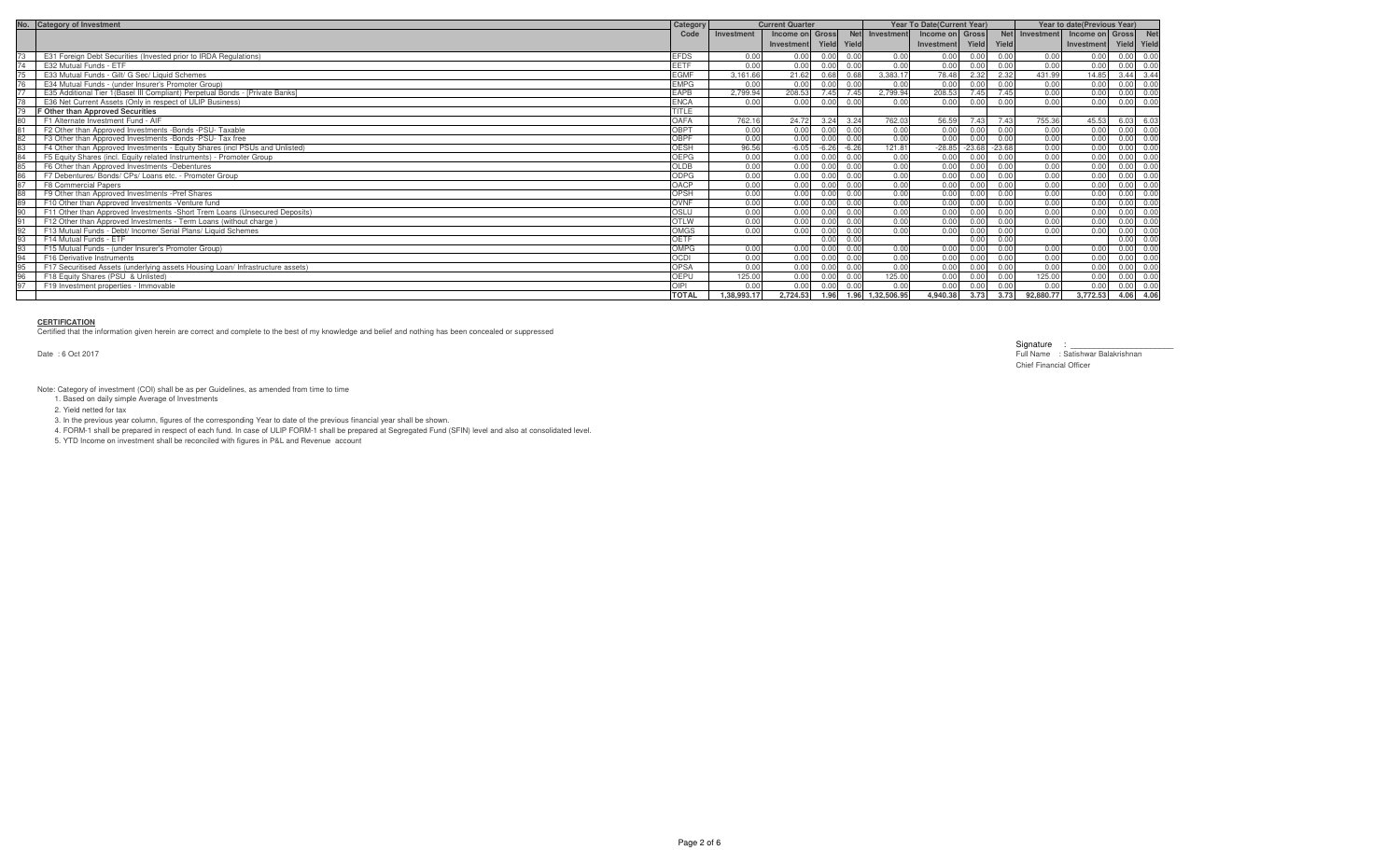| No. Category of Investment                                                     | Category     |             | <b>Current Quarter</b> |             |         |                  | <b>Year To Date (Current Year)</b> |          |          | Year to date(Previous Year) |                     |                   |      |
|--------------------------------------------------------------------------------|--------------|-------------|------------------------|-------------|---------|------------------|------------------------------------|----------|----------|-----------------------------|---------------------|-------------------|------|
|                                                                                | Code         | Investment  | Income on Gross        |             |         | Net Investment   | Income on Gross                    |          |          | Net Investment              | Income on Gross Net |                   |      |
|                                                                                |              |             | Investment             | Yield Yield |         |                  | Investment                         | Yield    | Yield    |                             | Investment          | Yield Yield       |      |
| E31 Foreign Debt Securities (Invested prior to IRDA Regulations)               | <b>EFDS</b>  | 0.00        | n nn                   | 0.00        | 0.00    | 0.00             | 0.00                               | 0.00     | 0.00     | 0.00                        | 0.00                | 0.00              | 0.00 |
| E32 Mutual Funds - ETF                                                         | <b>EETF</b>  | 0.00        | 0.00                   | 0.00        | 0.00    | 0.00             | 0.00                               | 0.00     | 0.00     | 0.00                        | 0.00                | 0.00              | 0.00 |
| E33 Mutual Funds - Gilt/ G Sec/ Liquid Schemes                                 | <b>EGMF</b>  | 3.161.66    | 21.62                  | 0.68        | 0.68    | 3.383.17         | 78.48                              | 2.32     | 2.32     | 431.99                      | 14.85               | 3.44 3.44         |      |
| E34 Mutual Funds - (under Insurer's Promoter Group)                            | <b>EMPG</b>  | n nr        | 0.00                   | 0.00        | 0.00    | 0.00             | 0.00                               | 0.00     | 0.00     | 0.00                        | 0.00                | 0.00              | 0.00 |
| E35 Additional Tier 1(Basel III Compliant) Perpetual Bonds - [Private Banks]   | <b>EAPB</b>  | 2.799.94    | 208.53                 | 7.45        | 7.45    | 2.799.94         | 208.53                             | 7.45     | 7.45     | 0.00                        | 0.00                | 0.00              | 0.00 |
| E36 Net Current Assets (Only in respect of ULIP Business)                      | <b>ENCA</b>  |             | 0.00                   | 0.00        | 0.00    | 0.00             | 0.00                               | 0.00     | 0.00     | 0.00                        | 0.00                | 0.00              | 0.00 |
| <b>F Other than Approved Securities</b>                                        | TITLE        |             |                        |             |         |                  |                                    |          |          |                             |                     |                   |      |
| F1 Alternate Investment Fund - AIF                                             | OAFA         | 762.16      | 24.72                  | 3.24        | 3.24    | 762.03           | 56.59                              | 7.43     | 7.43     | 755.36                      | 45.53               | 6.03              | 6.03 |
| F2 Other than Approved Investments -Bonds -PSU- Taxable                        | ORPT         | 0.00        | 0.00                   | 0.00        | 0.00    | 0.00             | 0.00                               | 0.00     | 0.00     | 0.00                        | 0.00                | 0.00              | 0.00 |
| F3 Other than Approved Investments -Bonds -PSU- Tax free                       | <b>OBPF</b>  | 0.00        | 0.00                   | 0.00        | 0.00    | 0.00             | 0.00                               | 0.00     | 0.00     | 0.00                        | 0.00                | 0.00              | 0.00 |
| F4 Other than Approved Investments - Equity Shares (incl PSUs and Unlisted)    | OESH         | 96.56       | $-6.05$                | $-6.26$     | $-6.26$ | 121.81           | $-28.85$                           | $-23.68$ | $-23.68$ | 0.00                        | 0.00                | 0.00              | 0.00 |
| F5 Equity Shares (incl. Equity related Instruments) - Promoter Group           | OEPG         | 0.00        | 0.00                   | 0.00        | 0.00    | 0.00             | 0.00                               | 0.00     | 0.00     | 0.00                        | 0.00                | 0.00              | 0.00 |
| F6 Other than Approved Investments -Debentures                                 | <b>OLDB</b>  | 0.00        | 0.00                   | 0.00        | 0.00    | 0.00             | 0.00                               | 0.00     | 0.00     | 0.00                        | 0.00                | 0.00              | 0.00 |
| F7 Debentures/ Bonds/ CPs/ Loans etc. - Promoter Group                         | ODPG         | 0.00        | 0.00                   | 0.00        | 0.00    | 0.00             | 0.00                               | 0.00     | 0.00     | 0.00                        | 0.00                | $0.00 \quad 0.00$ |      |
| F8 Commercial Papers                                                           | OACP         | 0.00        | 0.00                   | 0.00        | 0.00    | 0.00             | 0.00                               | 0.00     | 0.00     | 0.00                        | 0.00                | 0.00              | 0.00 |
| F9 Other than Approved Investments -Pref Shares                                | OPSH         | 0.00        | 0.00                   | 0.00        | 0.00    | 0.00             | 0.00                               | 0.00     | 0.00     | 0.00                        | 0.00                | 0.00              | 0.00 |
| F10 Other than Approved Investments - Venture fund                             | OVNF         | 0.00        | 0.00                   | 0.00        | 0.00    | 0.00             | 0.00                               | 0.00     | 0.00     | 0.00                        | 0.00                | 0.00              | 0.00 |
| F11 Other than Approved Investments -Short Trem Loans (Unsecured Deposits)     | OSLU         | n nn        | 0.00                   | n nn        | 0.00    | 0.00             | 0.00                               | 0.00     | 0.00     | 0.00                        | 0.00                |                   | 0.00 |
| F12 Other than Approved Investments - Term Loans (without charge)              | <b>OTLW</b>  | 0.00        | 0.00                   | 0.00        | 0.00    | 0.00             | 0.00                               | 0.00     | 0.00     | 0.00                        | 0.00                |                   | 0.00 |
| F13 Mutual Funds - Debt/ Income/ Serial Plans/ Liquid Schemes                  | <b>OMGS</b>  | 0.00        | 0.00                   | 0.00        | 0.00    | 0.00             | 0.00                               | 0.00     | 0.00     | 0.00                        | 0.00                | 0.00              | 0.00 |
| F14 Mutual Funds - ETF                                                         | OETF         |             |                        | 0.00        | 0.00    |                  |                                    | 0.00     | 0.00     |                             |                     | 0.00              | 0.00 |
| F15 Mutual Funds - (under Insurer's Promoter Group)                            | OMPG         | 0.00        | 0.00                   | 0.00        | 0.00    | 0.00             | 0.00                               | 0.00     | 0.00     | 0.00                        | 0.00                |                   | 0.00 |
| <b>F16 Derivative Instruments</b>                                              | <b>OCDI</b>  | 0.00        | n nn                   | n nn        | 0.00    | 0.00             | 0.00                               | 0.00     | 0.00     | 0.00                        | 0.00                | 0.00              | 0.00 |
| F17 Securitised Assets (underlying assets Housing Loan/ Infrastructure assets) | OPSA         | n nn        | 0.00                   | 0.00        | 0.00    | 0.00             | 0.00                               | 0.00     | 0.00     | 0.00                        | 0.00                | 0 <sub>0</sub>    | 0.00 |
| F18 Equity Shares (PSU & Unlisted)                                             | OEPU         | 125.00      | 0.00                   | 0.00        | 0.00    | 125.00           | 0.00                               | 0.00     | 0.00     | 125.00                      | 0.00                | 0.00              | 0.00 |
| F19 Investment properties - Immovable                                          | OIPI         | 0.00        | 0.00                   | 0.00        | 0.00    | 0.00             | 0.00                               | 0.00     | 0.00     | 0.00                        | 0.00                | 0.00 0.00         |      |
|                                                                                | <b>TOTAL</b> | 1.38.993.17 | 2,724.53               | 1.96        |         | 1.96 1,32,506.95 | 4,940.38                           | 3.73     | 3.73     | 92,880.77                   | 3,772.53            | 4.06 4.06         |      |

### **CERTIFICATION**

Certified that the information given herein are correct and complete to the best of my knowledge and belief and nothing has been concealed or suppressed

Date : 6 Oct 2017

Signature : \_<br>Full Name : Satishwar Balakrishnan Full Name : Satishwar Balakrishnan Chief Financial Officer

Note: Category of investment (COI) shall be as per Guidelines, as amended from time to time 1. Based on daily simple Average of Investments

2. Yield netted for tax

3. In the previous year column, figures of the corresponding Year to date of the previous financial year shall be shown.

4. FORM-1 shall be prepared in respect of each fund. In case of ULIP FORM-1 shall be prepared at Segregated Fund (SFIN) level and also at consolidated level.

5. YTD Income on investment shall be reconciled with figures in P&L and Revenue account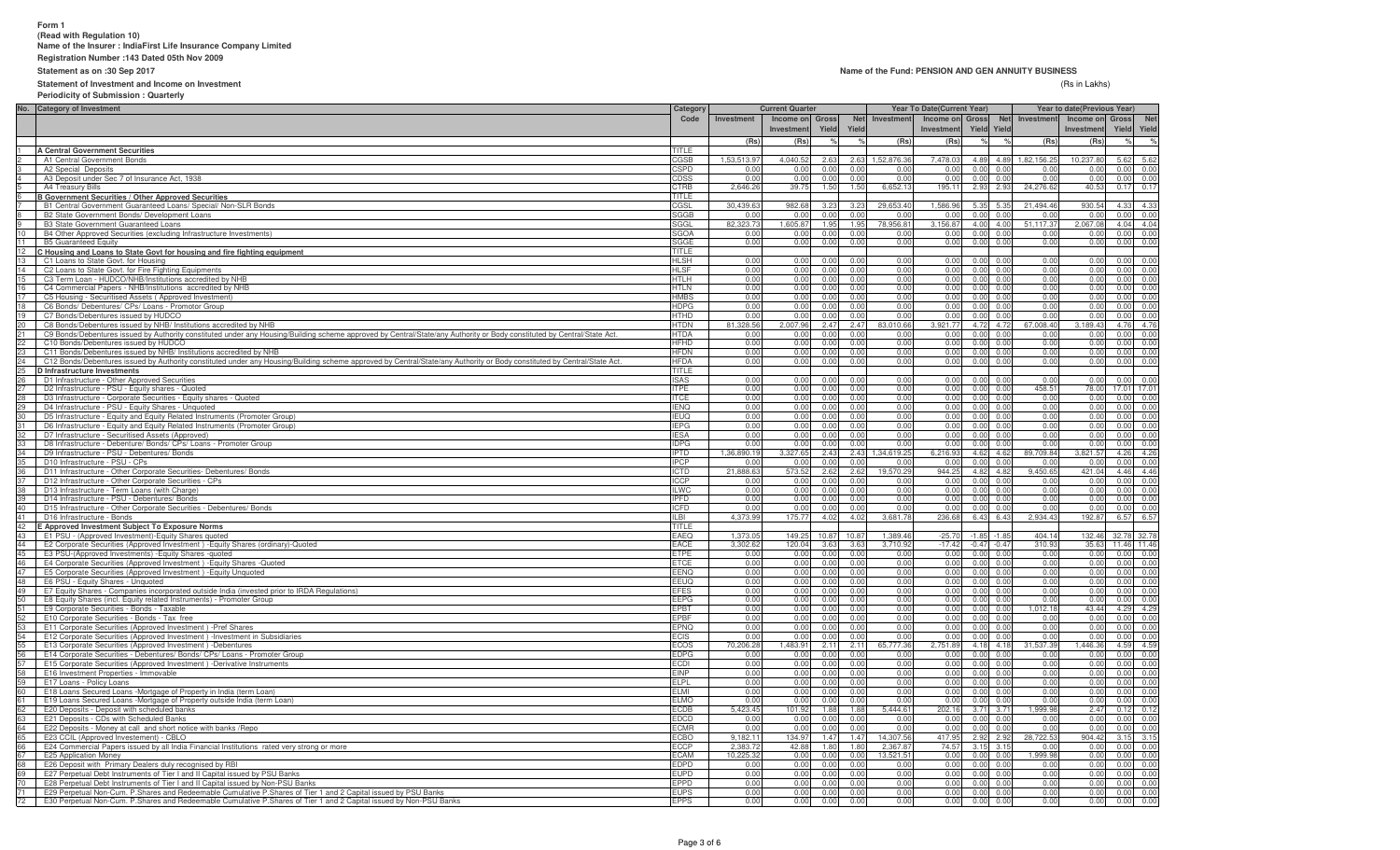# **Form 1(Read with Regulation 10) Name of the Insurer : IndiaFirst Life Insurance Company Limited**

**Registration Number :143 Dated 05th Nov 2009**

**Statement as on :30 Sep 2017**

### **Statement of Investment and Income on Investment**

#### **Name of the Fund: PENSION AND GEN ANNUITY BUSINESS**

(Rs in Lakhs) (Rs in Lakhs)

**Periodicity of Submission : Quarterly**

|                                        | No. Category of Investment                                                                                                                                               | Category                   | <b>Current Quarter</b> |                   |              |              |                       | Year To Date(Current Year) |                   |                                        |                   | Year to date(Previous Year) |              |              |
|----------------------------------------|--------------------------------------------------------------------------------------------------------------------------------------------------------------------------|----------------------------|------------------------|-------------------|--------------|--------------|-----------------------|----------------------------|-------------------|----------------------------------------|-------------------|-----------------------------|--------------|--------------|
|                                        |                                                                                                                                                                          | Code                       | Investment             | Income on Gross   |              | <b>Net</b>   | Investment            | Income on Gross            |                   | <b>Net</b>                             | Investment        | Income on                   | Gross        | <b>Net</b>   |
|                                        |                                                                                                                                                                          |                            |                        | <b>Investment</b> | Yield        | Yield        |                       | Investment                 |                   | <b>Yield Yield</b>                     |                   | Investmen                   | Yield        | Yield        |
|                                        |                                                                                                                                                                          |                            | (Rs)                   | (Rs)              |              |              | (Rs)                  | (Rs)                       |                   |                                        | (Rs)              | (Rs)                        |              | $\%$         |
|                                        | A Central Government Securities                                                                                                                                          | TITLE                      |                        |                   |              |              |                       |                            |                   |                                        |                   |                             |              |              |
|                                        | A1 Central Government Bonds                                                                                                                                              | CGSB                       | 1,53,513.97            | 4.040.52          | 2.63         | 2.63         | 1.52.876.36           | 7.478.03                   |                   | 4.89 4.89                              | 1.82.156.25       | 10.237.8                    | 5.62         | 5.62         |
|                                        | A2 Special Deposits                                                                                                                                                      | CSPD                       | 0.00                   | 0.00              | 0.00         | 0.00         | 0.00                  | 0.00                       | 0.00              | 0.0                                    | 0.01              | 0.0                         | 0.00         | 0.00         |
|                                        | A3 Deposit under Sec 7 of Insurance Act, 1938                                                                                                                            | CDSS                       | 0.00                   | 0.00              | 0.00         | 0.00         | 0.00                  | 0.00                       | 0.00              | 0.0                                    | 0.01              | 0.0                         | 0.00         | 0.00         |
|                                        | A4 Treasury Bills                                                                                                                                                        | CTRB                       | 2,646.2                | 39.75             | 1.50         | 1.50         | 6,652.13              | 195.11                     | 2.93              | 2.9                                    | 24,276.6          | 40.5                        | 0.17         | 0.17         |
|                                        | <b>B Government Securities / Other Approved Securities</b>                                                                                                               | TITLE                      |                        |                   |              |              |                       |                            |                   |                                        |                   |                             |              |              |
|                                        | B1 Central Government Guaranteed Loans/ Special/ Non-SLR Bonds                                                                                                           | CGSL                       | 30.439.63              | 982.68            | 3.23         | 3.23         | 29,653.40             | 1.586.96                   |                   | 5.35 5.3                               | 21.494.46         | 930.54                      | 4.33<br>0.00 | 4.33         |
| 9                                      | B2 State Government Bonds/ Development Loans                                                                                                                             | <b>SGGB</b><br><b>SGGL</b> | 0.00<br>82,323.73      | 0.00<br>1,605.87  | 0.00<br>1.95 | 0.00<br>1.95 | 0.00<br>78,956.81     | 0.00<br>3,156.87           | 0.00<br>4.00      | 0.0<br>4.00                            | 0.00<br>51,117.37 | 0.01<br>2,067.08            | 4.04         | 0.00<br>4.04 |
| 10                                     | <b>B3 State Government Guaranteed Loans</b><br>B4 Other Approved Securities (excluding Infrastructure Investments)                                                       | SGOA                       | 0.00                   | 0.00              | 0.00         | 0.00         | 0.00                  | 0.00                       | 0.00              | 0.0                                    | 0.00              | 0.0                         | 0.00         | 0.00         |
| 11                                     | <b>B5 Guaranteed Equity</b>                                                                                                                                              | SGGE                       | 0.00                   | 0.00              | 0.00         | 0.00         | 0.00                  | 0.00                       | 0.00              | 0.01                                   | 0.00              | 0.0                         | 0.00         | 0.00         |
| 12                                     | C Housing and Loans to State Govt for housing and fire fighting equipment                                                                                                | <b>TITLE</b>               |                        |                   |              |              |                       |                            |                   |                                        |                   |                             |              |              |
| 13                                     | C1 Loans to State Govt. for Housing                                                                                                                                      | <b>HLSH</b>                | 0.00                   | 0.00              | 0.00         | 0.00         | 0.00                  | 0.00                       |                   | $0.00 \quad 0.0$                       | 0.00              | 0.00                        | 0.00         | 0.00         |
| 14                                     | C2 Loans to State Govt. for Fire Fighting Equipments                                                                                                                     | <b>HLSF</b>                | 0.00                   | 0.00              | 0.00         | 0.00         | 0.00                  | 0.00                       |                   | $0.00 \quad 0.01$                      | 0.00              | 0.00                        | 0.00         | 0.00         |
| 15 <sub>1</sub>                        | C3 Term Loan - HUDCO/NHB/Institutions accredited by NHB                                                                                                                  | <b>HTLH</b>                | 0.00                   | 0.00              | 0.00         | 0.00         | 0.00                  | 0.00                       |                   | $0.00 \quad 0.00$                      | 0.00              | 0.00                        | 0.00         | 0.00         |
|                                        | C4 Commercial Papers - NHB/Institutions accredited by NHB                                                                                                                | <b>HTLN</b>                | 0.00                   | 0.00              | 0.00         | 0.00         | 0.00                  | 0.00                       |                   | 0.00 0.00                              | 0.00              | 0.00                        | 0.00         | 0.00         |
| 16<br>17<br>18<br>19<br>20<br>22<br>22 | C5 Housing - Securitised Assets (Approved Investment)                                                                                                                    | <b>HMBS</b>                | 0.00                   | 0.00              | 0.00         | 0.00         | 0.00                  | 0.00                       |                   | $0.00 \quad 0.01$                      | 0.00              | 0.00                        | 0.00         | 0.00         |
|                                        | C6 Bonds/ Debentures/ CPs/ Loans - Promotor Group                                                                                                                        | <b>HDPG</b>                | 0.00                   | 0.00              | 0.00         | 0.00         | 0.00                  | 0.00                       |                   | $0.00 \quad 0.00$                      | 0.00              | 0.00                        | 0.00         | 0.00         |
|                                        | C7 Bonds/Debentures issued by HUDCO                                                                                                                                      | <b>HTHD</b>                | 0.00                   | 0.00              | 0.00         | 0.00         | 0.00                  | 0.00                       | 0.00              | 0.0                                    | 0.00              | 0.01                        | 0.00         | 0.00         |
|                                        | C8 Bonds/Debentures issued by NHB/ Institutions accredited by NHB                                                                                                        | <b>HTDN</b>                | 81,328.56              | 2,007.96          | 2.47         | 2.47         | 83,010.66             | 3,921.77                   | 4.72              | 4.72                                   | 67,008.40         | 3,189.4                     | 4.76         | 4.76         |
|                                        | C9 Bonds/Debentures issued by Authority constituted under any Housing/Building scheme approved by Central/State/any Authority or Body constituted by Central/State Act.  | <b>HTDA</b>                | 0.00                   | 0.00              | 0.00         | 0.00         | 0.00                  | 0.00                       | 0.00              | 0.0                                    | 0.00              | 0.0                         | 0.00         | 0.00         |
|                                        | C10 Bonds/Debentures issued by HUDCO                                                                                                                                     | <b>HFHD</b>                | 0.00                   | 0.00              | 0.00         | 0.00         | 0.00                  | 0.00                       | 0.00              | 0.0                                    | 0.00              | 0.0                         | 0.00         | 0.00         |
|                                        | C11 Bonds/Debentures issued by NHB/ Institutions accredited by NHB                                                                                                       | <b>HFDN</b>                | 0.00                   | 0.00              | 0.00         | 0.00         | 0.00                  | 0.00                       | 0.00              | 0.0                                    | 0.00              | 0.0                         | 0.00         | 0.00         |
| 24                                     | C12 Bonds/Debentures issued by Authority constituted under any Housing/Building scheme approved by Central/State/any Authority or Body constituted by Central/State Act. | <b>HFDA</b><br>TITLE       | 0.00                   | 0.00              | 0.00         | 0.00         | 0.00                  | 0.00                       | 0.00              | 0.0                                    | 0.00              | 0.00                        | 0.00         | 0.00         |
| <u>=-</u><br>25<br>26                  | D Infrastructure Investments                                                                                                                                             | <b>ISAS</b>                | 0.00                   | 0.00              | 0.00         | 0.00         | 0.00                  | 0.00                       |                   | $0.00 \quad 0.0$                       | 0.00              | 0.00                        |              | 0.00 0.00    |
| $27 -$                                 | D1 Infrastructure - Other Approved Securities<br>D2 Infrastructure - PSU - Equity shares - Quoted                                                                        | <b>ITPE</b>                | 0.00                   | 0.00              | 0.00         | 0.00         | 0.00                  | 0.00                       | 0.00              | 0.0                                    | 458.5             | 78.00                       | 17.01        | 17.01        |
|                                        | 28 D3 Infrastructure - Corporate Securities - Equity shares - Quoted                                                                                                     | <b>ITCE</b>                | 0.00                   | 0.00              | 0.00         | 0.00         | 0.00                  | 0.00                       | 0.00              | 0.01                                   | 0.00              | 0.00                        |              | 0.00 0.00    |
|                                        | 29 D4 Infrastructure - PSU - Equity Shares - Unquoted                                                                                                                    | <b>IENO</b>                | 0.00                   | 0.00              | 0.00         | 0.00         | 0.00                  | 0.00                       | 0.00              | 0 <sub>0</sub>                         | 0.00              | 0.00                        | 0.00         | 0.00         |
| $30 -$                                 | D5 Infrastructure - Equity and Equity Related Instruments (Promoter Group)                                                                                               | <b>IEUQ</b>                | 0.00                   | 0.00              | 0.00         | 0.00         | 0.00                  | 0.00                       | 0.00              | 0.0                                    | 0.00              | 0.0                         | 0.00         | 0.00         |
| 31                                     | D6 Infrastructure - Equity and Equity Related Instruments (Promoter Group)                                                                                               | <b>IEPG</b>                | 0.00                   | 0.00              | 0.00         | 0.00         | 0.00                  | 0.00                       |                   | 0.00 0.00                              | 0.00              | 0.00                        | 0.00         | 0.00         |
| 32 <sup>2</sup>                        | D7 Infrastructure - Securitised Assets (Approved)                                                                                                                        | <b>IFSA</b>                | 0.00                   | 0.00              | 0.00         | 0.00         | 0.00                  | 0.00                       | 0.00              | 0 <sub>0</sub>                         | 0.00              | 0 <sub>0</sub>              | 0.00         | 0.00         |
| 33                                     | D8 Infrastructure - Debenture/ Bonds/ CPs/ Loans - Promoter Group                                                                                                        | <b>IDPG</b>                | 0.00                   | 0.00              | 0.00         | 0.00         | 0.00                  | 0.00                       |                   | 0.00 0.00                              | 0.00              | 0.00                        | 0.00         | 0.00         |
| 34                                     | D9 Infrastructure - PSU - Debentures/ Bonds                                                                                                                              | <b>IPTD</b>                | 1,36,890.19            | 3,327.65          | 2.43         | 2.43         | 1,34,619.25           | 6,216.93                   |                   | 4.62 4.62                              | 89,709.84         | 3,821.57                    | 4.26         | 4.26         |
| 35                                     | D10 Infrastructure - PSU - CPs                                                                                                                                           | <b>IPCP</b>                | 0.00                   | 0.00              | 0.00         | <u>በ በበ</u>  | 0.00                  | 0.00                       |                   | 0.00 0.00                              | 0.00              | 0.00                        | 0.00         | 0.00         |
| 36                                     | D11 Infrastructure - Other Corporate Securities- Debentures/ Bonds                                                                                                       | <b>ICTD</b>                | 21,888.63              | 573.52            | 2.62         | 2.62         | 19,570.29             | 944.25                     |                   | 4.82 4.82                              | 9,450.65          | 421.04                      | 4.46         | 4.46         |
| $37 -$                                 | D12 Infrastructure - Other Corporate Securities - CPs                                                                                                                    | <b>ICCP</b>                | 0.00                   | 0.00              | 0.00         | 0.00         | 0.00                  | 0.00                       |                   | 0.00 0.01                              | 0.00              | 0.00                        | 0.00<br>0.00 | 0.00         |
| 38<br>39                               | D13 Infrastructure - Term Loans (with Charge)<br>D14 Infrastructure - PSU - Debentures/ Bonds                                                                            | <b>ILWC</b><br><b>IPFD</b> | 0.00<br>0.00           | 0.00<br>0.00      | 0.00<br>0.00 | 0.00<br>0.00 | 0.00<br>0.00          | 0.00<br>0.00               | 0.00<br>0.00      | 0.0<br>0.00                            | 0.00<br>0.00      | 0.00<br>0.00                | 0.00         | 0.00         |
| 40                                     | D15 Infrastructure - Other Corporate Securities - Debentures/ Bonds                                                                                                      | <b>ICFD</b>                | 0.00                   | 0.00              | 0.00         | 0.00         | 0.00                  | 0.00                       | 0.00              | 0.00                                   | 0.00              | 0.0                         | 0.00         | 0.00<br>0.00 |
| 41                                     | D16 Infrastructure - Bonds                                                                                                                                               | IL BI                      | 4,373.99               | 175.77            | 4.02         | 4.02         | 3,681.78              | 236.68                     | 6.43              | 6.43                                   | 2,934.43          | 192.8                       | 6.57         | 6.57         |
| 42                                     | E Approved Investment Subject To Exposure Norms                                                                                                                          | <b>FITLE</b>               |                        |                   |              |              |                       |                            |                   |                                        |                   |                             |              |              |
| 43                                     | E1 PSU - (Approved Investment)-Equity Shares quoted                                                                                                                      | EAEQ                       | 1,373.0                | 149.25            | 10.87        | 10.87        | 1,389.46              | $-25.70$                   | -1.85             | $-1.8$                                 | 404.14            | 132.46                      | 32.78        | 32.78        |
| 44                                     | E2 Corporate Securities (Approved Investment) - Equity Shares (ordinary)-Quoted                                                                                          | <b>EACE</b>                | 3,302.6                | 120.04            | 3.6          | 3.63         | 3,710.92              | $-17.42$                   | $-0.47$           | $-0.4$                                 | 310.9             | 35.6                        | 11.46        | 11.46        |
| 45                                     | E3 PSU-(Approved Investments) - Equity Shares - quoted                                                                                                                   | ETPE                       | 0.00                   | 0.00              | 0.00         | 0.00         | 0.00                  | 0.00                       | 0.00              | 0.0                                    | 0.00              | 0.0                         | 0.00         | 0.00         |
| 46                                     | E4 Corporate Securities (Approved Investment) - Equity Shares - Quoted                                                                                                   | <b>ETCE</b>                | 0.00                   | 0.00              | 0.00         | 0.00         | 0.00                  | 0.00                       | 0.00              | 0.0                                    | 0.00              | 0.00                        | 0.00         | 0.00         |
| 47                                     | E5 Corporate Securities (Approved Investment) - Equity Unquoted                                                                                                          | <b>FENO</b>                | 0.00                   | 0.00              | 0.00         | 0.00         | 0.00                  | 0.00                       | 0.00              | 0.00                                   | 0.00              | 0.00                        | 0.00         | 0.00         |
| 48                                     | E6 PSU - Equity Shares - Unquoted                                                                                                                                        | <b>EEUQ</b>                | 0.00                   | 0.00              | 0.00         | 0.00         | 0.00                  | 0.00                       | 0.00              | 0.0                                    | 0.00              | 0.0                         | 0.00         | 0.00         |
| 49                                     | E7 Equity Shares - Companies incorporated outside India (invested prior to IRDA Regulations)                                                                             | <b>EFES</b>                | 0.00                   | 0.00              | 0.00         | 0.00         | 0.00                  | 0.00                       | 0.00              | 0.0                                    | 0.00              | 0.00                        | 0.00         | 0.00         |
| 50                                     | E8 Equity Shares (incl. Equity related Instruments) - Promoter Group                                                                                                     | <b>EEPG</b>                | 0.00                   | 0.00              | 0.00         | 0.00         | 0.00                  | 0.00                       |                   | $0.00 \ 0.0$                           | 0.00              | 0.00                        | 0.00         | 0.00         |
| 51                                     | E9 Corporate Securities - Bonds - Taxable                                                                                                                                | <b>EPBT</b><br><b>EPBF</b> | 0.00<br>0.00           | 0.00              | 0.00<br>0.00 | 0.00<br>0.00 | 0.00<br>0.00          | 0.00<br>0.00               |                   | $0.00 \quad 0.01$                      | 012.18<br>0.00    | 43.44<br>0.00               | 4.29<br>0.00 | 4.29<br>0.00 |
| 52<br>53                               | E10 Corporate Securities - Bonds - Tax free<br>E11 Corporate Securities (Approved Investment) -Pref Shares                                                               | EPNQ                       | 0.00                   | 0.00<br>0.00      | 0.00         | 0.00         | 0.00                  | 0.00                       |                   | $0.00 \quad 0.01$<br>$0.00 \quad 0.00$ | 0.00              | 0.00                        | 0.00         | 0.00         |
|                                        | E12 Corporate Securities (Approved Investment) - Investment in Subsidiaries                                                                                              | <b>ECIS</b>                | 0.00                   | 0.00              | 0.00         | 0.00         | 0.00                  | 0.00                       |                   | $0.00 \quad 0.00$                      | 0.00              | 0.00                        | 0.00         | 0.00         |
| 54<br>55<br>56<br>57<br>58<br>59<br>59 | E13 Corporate Securities (Approved Investment) -Debentures                                                                                                               | <b>ECOS</b>                | 70,206.28              | 1,483.91          | 2.11         | 2.11         | 65,777.36             | 2,751.89                   |                   | 4.18 4.18                              | 31,537.39         | 1,446.36                    | 4.59         | 4.59         |
|                                        | E14 Corporate Securities - Debentures/ Bonds/ CPs/ Loans - Promoter Group                                                                                                | <b>EDPG</b>                | 0.00                   | 0.00              | 0.00         | 0.00         | 0.00                  | 0.00                       |                   | $0.00 \quad 0.01$                      | 0.00              | 0.00                        | 0.00         | 0.00         |
|                                        | E15 Corporate Securities (Approved Investment) -Derivative Instruments                                                                                                   | ECDI                       | 0.00                   | 0.00              | 0.00         | 0.00         | 0.00                  | 0.00                       | 0.00              | 0.0                                    | 0.00              | 0.00                        | 0.00         | 0.00         |
|                                        | E16 Investment Properties - Immovable                                                                                                                                    | <b>EINP</b>                | 0.00                   | 0.00              | 0.00         | 0.00         | 0.00                  | 0.00                       | 0.00              | 0.0                                    | 0.00              | 0.01                        | 0.00         | 0.00         |
|                                        | E17 Loans - Policy Loans                                                                                                                                                 | <b>ELPL</b>                | 0.00                   | 0.00              | 0.00         | 0.00         | 0.00                  | 0.00                       | 0.00              | 0.00                                   | 0.00              | 0.00                        | 0.00         | 0.00         |
|                                        | E18 Loans Secured Loans -Mortgage of Property in India (term Loan)                                                                                                       | EL MI                      | 0.00                   | 0.00              | 0.00         | 0.00         | 0.00                  | 0.00                       | 0.00              | 0.01                                   | 0.00              | 0.00                        | 0.00         | 0.00         |
| 61                                     | E19 Loans Secured Loans -Mortgage of Property outside India (term Loan)                                                                                                  | <b>ELMO</b>                | 0.00                   | 0.00              | 0.00         | 0.00         | 0.00                  | 0.00                       | 0.00              | 0.0                                    | 0.00              | 0.01                        | 0.00         | 0.00         |
| 62<br>63                               | E20 Deposits - Deposit with scheduled banks                                                                                                                              |                            | 5,423.45               | 101.92            | 1.88         | 1.88         | 5,444.61              | 202.16                     | 3.71              | 3.7                                    | ,999.9            | 2.47                        | 0.12         | 0.12         |
|                                        | E21 Deposits - CDs with Scheduled Banks                                                                                                                                  | <b>EDCD</b>                | 0.00                   | 0.00              | 0.00         | 0.00         | 0.00                  | 0.00                       |                   | 0.00 0.00                              | 0.00              | 0.00                        | 0.00         | 0.00         |
| 64                                     | E22 Deposits - Money at call and short notice with banks /Repo                                                                                                           | <b>ECMR</b>                | 0.00                   | 0.00              | 0.00         | 0.00         | 0.00                  | 0.00                       |                   | 0.00 0.00                              | 0.00              | 0.00                        | 0.00         | 0.00         |
| 65                                     | E23 CCIL (Approved Investement) - CBLO                                                                                                                                   | ECBO<br><b>ECCP</b>        | 9,182.11               | 134.97            | 1.47         | 1.47         | 14,307.56             | 417.95                     |                   | 2.92 2.92                              | 28,722.5          | 904.42                      | 3.15         | 3.15         |
| 66                                     | E24 Commercial Papers issued by all India Financial Institutions rated very strong or more<br><b>E25 Application Money</b>                                               | <b>ECAM</b>                | 2.383.72<br>10.225.32  | 42.88<br>0.00     | 1.80<br>0.00 | 1.80<br>0.00 | 2,367.87<br>13.521.51 | 74.57<br>0.00              | 0.00              | $3.15$ $3.15$<br>0 <sub>0</sub>        | 0.00<br>.999.98   | 0.00<br>0.01                | 0.00<br>0.00 | 0.00<br>0.00 |
| 67<br>68                               | E26 Deposit with Primary Dealers duly recognised by RBI                                                                                                                  | <b>EDPD</b>                | 0.00                   | 0.00              | 0.00         | 0.00         | 0.00                  | 0.00                       | 0.00              | 0.0                                    | 0.00              | 0.00                        | 0.00         | 0.00         |
| 69                                     | E27 Perpetual Debt Instruments of Tier I and II Capital issued by PSU Banks                                                                                              | <b>EUPD</b>                | 0.00                   | 0.00              | 0.00         | 0.00         | 0.00                  | 0.00                       | 0.00 <sub>1</sub> | 0.00                                   | 0.00              | 0.00                        | 0.00         | 0.00         |
| 70                                     | E28 Perpetual Debt Instruments of Tier I and II Capital issued by Non-PSU Banks                                                                                          | <b>EPPD</b>                | 0.00                   | 0.00              | 0.00         | 0.00         | 0.00                  | 0.00                       |                   | 0.00 0.01                              | 0.00              | 0.00                        | 0.00         | 0.00         |
| 71                                     | E29 Perpetual Non-Cum. P.Shares and Redeemable Cumulative P.Shares of Tier 1 and 2 Capital issued by PSU Banks                                                           | <b>EUPS</b>                | 0.00                   | 0.00              | 0.00         | 0.00         | 0.00                  | 0.00                       |                   | $0.00 \quad 0.00$                      | 0.00              | 0.00                        | 0.00         | 0.00         |
|                                        | 72   E30 Perpetual Non-Cum. P.Shares and Redeemable Cumulative P.Shares of Tier 1 and 2 Capital issued by Non-PSU Banks                                                  | <b>EPPS</b>                | 0.00                   | 0.00              | 0.00         | 0.00         | 0.00                  | 0.00                       |                   | $0.00 \quad 0.00$                      | 0.00              | 0.00                        | 0.00         | 0.00         |
|                                        |                                                                                                                                                                          |                            |                        |                   |              |              |                       |                            |                   |                                        |                   |                             |              |              |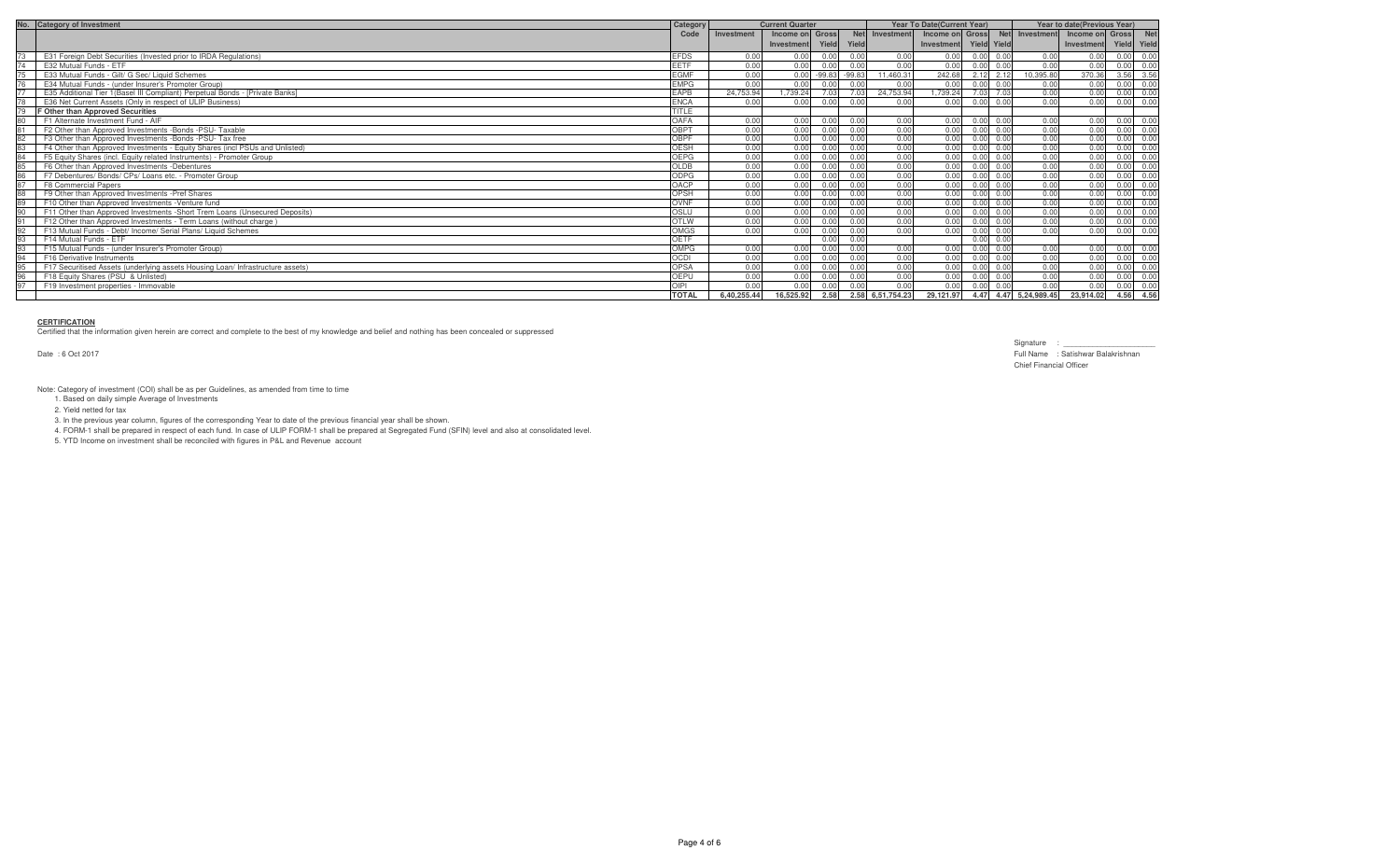| No. Category of Investment                                                     | Category     | <b>Current Quarter</b> |                  |                |          |                  |                        |                   |                   | <b>Year To Date(Current Year)</b> |                 |             |            | Year to date(Previous Year) |  |  |
|--------------------------------------------------------------------------------|--------------|------------------------|------------------|----------------|----------|------------------|------------------------|-------------------|-------------------|-----------------------------------|-----------------|-------------|------------|-----------------------------|--|--|
|                                                                                | Code         | Investment             | Income on Gross  |                |          | Net Investment   |                        |                   |                   | Income on Gross Net Investment    | Income on Gross |             | <b>Net</b> |                             |  |  |
|                                                                                |              |                        | Investment Yield |                | Yield    |                  | Investment Yield Yield |                   |                   |                                   | Investment      | Yield Yield |            |                             |  |  |
| E31 Foreign Debt Securities (Invested prior to IRDA Regulations)               | <b>EFDS</b>  | 0.00                   | 0.00             | 0.OO           | 0.00     | 0.00             | 0.00                   | 0.00              | 0.00              | 0.00                              | 0.00            | 0.00        |            |                             |  |  |
| E32 Mutual Funds - ETF                                                         | <b>EETF</b>  | 0.00                   | 0.00             | 0.00           | 0.00     | 0.00             | 0.00                   |                   | 0.00 0.00         | 0.00                              | 0.00            | 0.00        | 0.00       |                             |  |  |
| E33 Mutual Funds - Gilt/ G Sec/ Liquid Schemes                                 | <b>EGMF</b>  | 0.00                   |                  | $0.00 - 99.83$ | $-99.83$ | 11,460.31        | 242.68                 |                   | $2.12$ $2.12$     | 10,395.80                         | 370.36          | 3.56        | 3.56       |                             |  |  |
| E34 Mutual Funds - (under Insurer's Promoter Group)                            | <b>EMPG</b>  | 0.00                   | 0.00             | 0.00           | 0.00     | 0.00             | 0.00                   |                   | 0.000000          | 0.00                              | 0.00            | 0.00        | 0.00       |                             |  |  |
| E35 Additional Tier 1(Basel III Compliant) Perpetual Bonds - [Private Banks]   | <b>EAPB</b>  | 24,753.94              | 1,739.24         | 7.03           | 7.03     | 24,753.94        | 1,739.24               |                   | 7.03 7.03         | 0.00                              | 0.00            | 0.00        | 0.00       |                             |  |  |
| E36 Net Current Assets (Only in respect of ULIP Business)                      | <b>ENCA</b>  | 0.00                   | 0.00             | 0.00           | n nn     | n nn             | 0.00                   | 0.00              | 0.00              | 0.00                              | 0.00            | 0.00        | 0.OC       |                             |  |  |
| <b>F Other than Approved Securities</b>                                        | TITLE        |                        |                  |                |          |                  |                        |                   |                   |                                   |                 |             |            |                             |  |  |
| F1 Alternate Investment Fund - AIF                                             | OAFA         | 0.00                   | 0.00             | 0.00           | 0.00     | 0.00             | 0.00                   | $0.00 \quad 0.00$ |                   | 0.00                              | 0.00            | 0.00        |            |                             |  |  |
| F2 Other than Approved Investments -Bonds -PSU- Taxable                        | OBPT         | 0.00                   | 0.00             | 0.00           | 0.00     | 0.00             | 0.00                   |                   | $0.00 \quad 0.00$ | 0.00                              | 0.00            | 0.00        | 0.00       |                             |  |  |
| F3 Other than Approved Investments -Bonds -PSU- Tax free                       | <b>OBPF</b>  | 0.00                   | 0.00             | 0.00           | 0.00     | 0.00             | 0.00                   |                   | $0.00 \quad 0.00$ | 0.00                              | 0.00            | 0.00        | 0.00       |                             |  |  |
| F4 Other than Approved Investments - Equity Shares (incl PSUs and Unlisted)    | <b>OESH</b>  | 0.00                   | 0.00             | 0 OO           | 0.00     | 0.00             | 0.00                   |                   | $0.00 \quad 0.00$ | 0.00                              | 0.00            | 0.00        | . 0.00     |                             |  |  |
| F5 Equity Shares (incl. Equity related Instruments) - Promoter Group           | OEPG         | 0.00                   | 0.00             | 0.00           | 0.00     | 0.00             | 0.00                   |                   | $0.00 \quad 0.00$ | 0.00                              | 0.00            | 0.00        | 0.00       |                             |  |  |
| F6 Other than Approved Investments -Debentures                                 | <b>OLDB</b>  | 0.00                   | 0.00             | n nr           | 0.00     | 0.00             | 0.00                   |                   | 0.00              | 0.00                              | 0.00            | 0.00        |            |                             |  |  |
| F7 Debentures/ Bonds/ CPs/ Loans etc. - Promoter Group                         | ODPG         | 0.00                   | 0.00             | 0.00           | 0.00     | 0.00             | 0.00                   |                   | $0.00 \quad 0.00$ | 0.00                              | 0.00            | 0.00        | 0.0        |                             |  |  |
| <b>F8 Commercial Papers</b>                                                    | OACP         | 0.00                   | 0.00             | 0.00           | 0.00     | 0.00             | 0.00                   |                   | 0.00 0.00         | 0.00                              | 0.00            | 0.00        | 0.OC       |                             |  |  |
| F9 Other than Approved Investments -Pref Shares                                | OPSH         | 0.00                   | 0.00             | 0.00           | 0.00     | 0.00             | 0.00                   |                   | $0.00 \quad 0.00$ | 0.00                              | 0.00            | 0.00        | 0.00       |                             |  |  |
| F10 Other than Approved Investments -Venture fund                              | OVNF         | 0.00                   | 0.00             | n nn           | 0.00     | 0.00             | 0.00                   |                   | $0.00 \quad 0.00$ | 0.00                              | 0.00            | 0.00        |            |                             |  |  |
| F11 Other than Approved Investments -Short Trem Loans (Unsecured Deposits)     | OSLU         | 0.00                   | 0.00             | ገ በበ           | 0.00     | 0.00             | 0.00                   | n nn              | 0.00              | 0.00                              | 0.00            |             |            |                             |  |  |
| F12 Other than Approved Investments - Term Loans (without charge)              | <b>OTLW</b>  | 0.00                   | 0.00             |                | 0.00     | 0.00             | 0.00                   |                   | 0.00              | 0.00                              | 0.00            | n nn        | . 0.00     |                             |  |  |
| F13 Mutual Funds - Debt/ Income/ Serial Plans/ Liquid Schemes                  | <b>OMGS</b>  | 0.00                   | 0.00             | 0.00           | 0.00     | 0.00             | 0.00                   | 0.00              | 0.00              | 0.00                              | 0.00            | n nn        |            |                             |  |  |
| F14 Mutual Funds - ETF                                                         | <b>OETF</b>  |                        |                  | 0.00           | 0.00     |                  |                        |                   | $0.00 \quad 0.00$ |                                   |                 |             |            |                             |  |  |
| F15 Mutual Funds - (under Insurer's Promoter Group)                            | OMPG         | 0.00                   | 0.00             | n nn           | 0.00     | 0.00             | 0.00                   |                   | $0.00 \quad 0.00$ | 0.00                              | 0.00            | 0.00        | 0.00       |                             |  |  |
| F16 Derivative Instruments                                                     | OCDI         | 0.00                   | 0.00             | n nr           | 0.00     | 0.00             | 0.00                   |                   | $0.00 \quad 0.00$ | 0.00                              | 0.00            | 0.00        | 0.OC       |                             |  |  |
| F17 Securitised Assets (underlying assets Housing Loan/ Infrastructure assets) | <b>OPSA</b>  | 0.00                   | 0.00             | 0.OO           | 0.00     | 0.00             | 0.00                   | 0.00              | 0.00              | 0.00                              | 0.00            | 0.00        | 0.00       |                             |  |  |
| F18 Equity Shares (PSU & Unlisted)                                             | OEPU         | 0.00                   | 0.00             | n nr           | 0.00     | 0.00             | 0.00                   |                   | 0.00              | 0.00                              | 0.00            | 0.00        |            |                             |  |  |
| F19 Investment properties - Immovable                                          | OIPI         | 0.00                   | 0.00             | 0.00           | 0.00     | 0.00             | 0.00                   |                   | $0.00 \quad 0.00$ | 0.00                              | 0.00            | 0.00        | 0.00       |                             |  |  |
|                                                                                | <b>TOTAL</b> | 6.40.255.44            | 16,525.92 2.58   |                |          | 2.58 6,51,754.23 |                        |                   |                   | 29,121.97 4.47 4.47 5,24,989.45   | 23,914.02       | 4.56 4.56   |            |                             |  |  |

#### **CERTIFICATION**

Certified that the information given herein are correct and complete to the best of my knowledge and belief and nothing has been concealed or suppressed

Date : 6 Oct 2017

Signature : \_ Full Name : Satishwar Balakrishnan Chief Financial Officer

Note: Category of investment (COI) shall be as per Guidelines, as amended from time to time 1. Based on daily simple Average of Investments

2. Yield netted for tax

3. In the previous year column, figures of the corresponding Year to date of the previous financial year shall be shown.

4. FORM-1 shall be prepared in respect of each fund. In case of ULIP FORM-1 shall be prepared at Segregated Fund (SFIN) level and also at consolidated level.

5. YTD Income on investment shall be reconciled with figures in P&L and Revenue account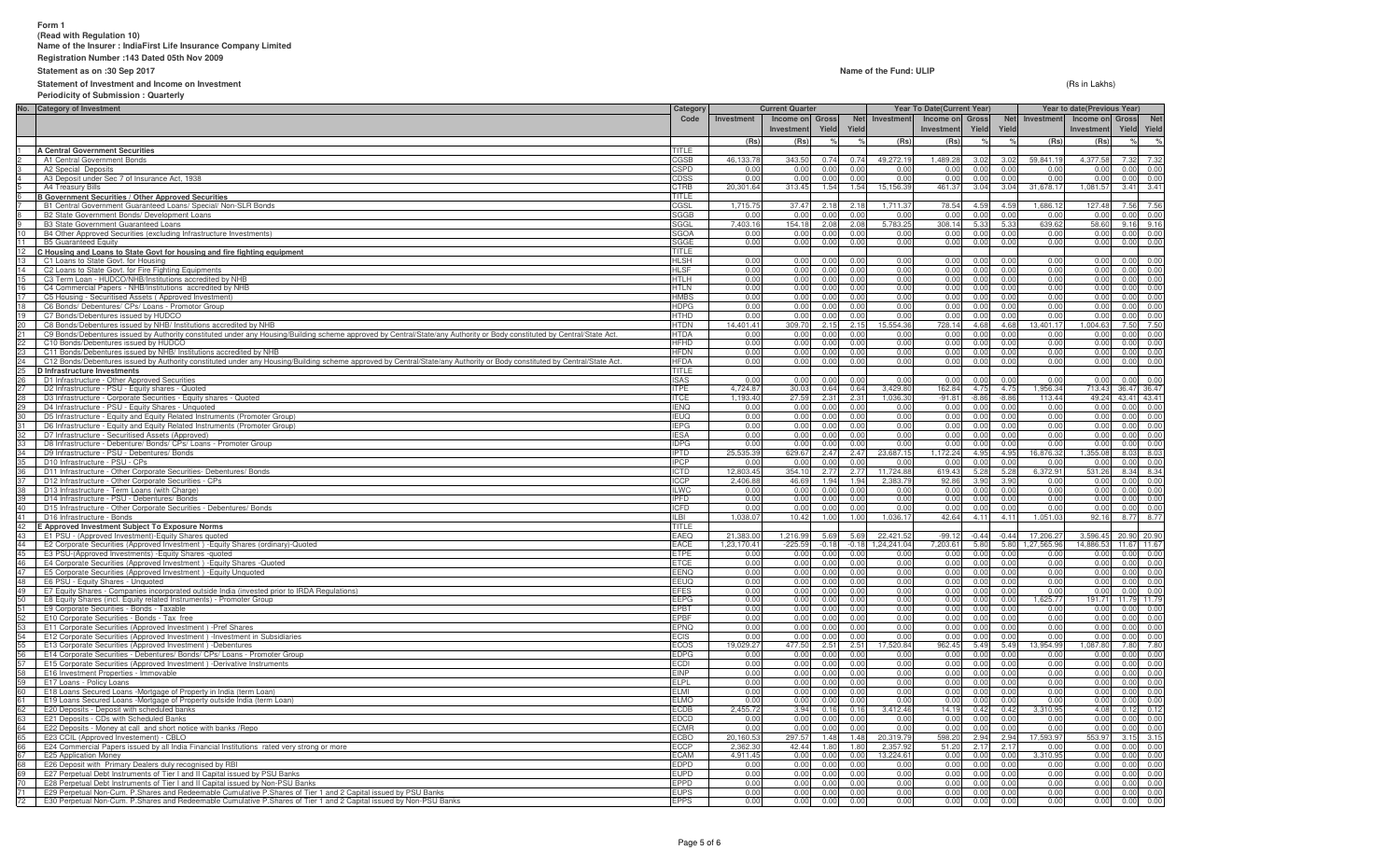#### **Form 1 (Read with Regulation 10)Name of the Insurer : IndiaFirst Life Insurance Company Limited**

**Registration Number :143 Dated 05th Nov 2009**

# **Statement as on :30 Sep 2017**

#### **Statement of Investment and Income on Investment**

#### **Name of the Fund: ULIP**

 $\blacksquare$ 

  **Investment YieldIncome on** Gross

**Current Quarter Year To Date(Current Year) Year to date(Previous Year)**

Income on Gross Net Investment Income on Gross Net Investment Income on Gross Net<br>Investment Yield Yield Investment Yield Yield Investment Offens Investment Chapter Investment Chapter<br>(Rs) (Rs) % % (Rs) % % % (Rs) % %

 $\mathbf{r}$ 

 $\%$ 

**Net Yield**

**Gross YieldNet YieldInvestment Income on**

**Investment Income on** Gross  **Investment**

**Category Code**

 $\%$  $\%$ 

 $\mathbf{I}$ 

**Gross Yield**

**Investment Income on Investment**

 $\blacksquare$ 

 (Rs in Lakhs)**Periodicity of Submission : QuarterlyNo. Category of Investment**1 **A Central Government Securities** TITLE2 A1 Central Government Bonds<br>3 A2 Special Deposits<br>4 A3 Deposit under Sec 7 of Insurance Act, 1938<br>5 A4 Treasury Bills<br>6 **B Government Securities / Other Approved Se B Government Securities / Other Approved Securities**7 B1 Central Government Guaranteed Loans/ Special/ Non-SLR Bonds8 B2 State Government Bonds/ Development Loans9 B3 State Government Guaranteed Loans 10 B4 Other Approved Securities (excluding Infrastructure Investments)11 B5 Guaranteed Equity<br>12 C **Housing and Loans to State Govt.**<br>13 C1 Loans to State Govt. for Housing 14 C2 Loans to State Govt. for Fire Fighting Equipments15 C3 Term Loan - HUDCO/NHB/Institutions accredited by NHB16 C4 Commercial Papers - NHB/Institutions accredited by NHB17 C5 Housing - Securitised Assets ( Approved Investment)18 C6 Bonds/ Debentures/ CPs/ Loans - Promotor Group

|          | A1 Central Government Bonds                                                                                                                                              | CGSB         | 46.133.78   | 343.50<br>$0.74$ 0.74           | 49,272.19   | 1.489.28 | 3.02           | 3.02    | 59,841.19      | 4.377.58<br>7.32<br>7.32   |
|----------|--------------------------------------------------------------------------------------------------------------------------------------------------------------------------|--------------|-------------|---------------------------------|-------------|----------|----------------|---------|----------------|----------------------------|
| 3        | A2 Special Deposits                                                                                                                                                      | <b>SPD</b>   | 0.00        | 0.00<br>0.00<br>0.00            | 0.00        | 0.00     | 0.00           | 0.00    | 0.00           | 0.00<br>0.00<br>0.00       |
| 4        | A3 Deposit under Sec 7 of Insurance Act, 1938                                                                                                                            | CDSS         | 0.00        | 0.00<br>0.00<br>0.00            | 0.00        | 0.00     | 0.00           | 0.00    | 0.00           | 0.00<br>0.00<br>0.00       |
|          | A4 Treasury Bills                                                                                                                                                        | CTRB         | 20,301.64   | 313.45<br>1.54<br>1.54          | 15,156.39   | 461.37   | 3.04           | 3.04    | 31,678.17      | 1,081.57<br>3.41<br>3.41   |
|          | <b>B Government Securities / Other Approved Securities</b>                                                                                                               | TITLE        |             |                                 |             |          |                |         |                |                            |
|          | B1 Central Government Guaranteed Loans/ Special/ Non-SLR Bonds                                                                                                           | CGSL         | 1.715.7     | 37.47<br>2.18<br>2.1            | 1.711.37    | 78.54    | 4.5            | 4.5     | 1.686.1        | 7.56<br>127.48<br>7.56     |
|          | B2 State Government Bonds/ Development Loans                                                                                                                             | SGGB         | 0 Q         | 0.00<br>0.00<br>0.00            | n nr        | 0.00     | 0.00           | 0.00    | 0.00           | 0.00<br>0.00<br>.ስ. 00     |
|          | <b>B3 State Government Guaranteed Loans</b>                                                                                                                              | <b>SGGL</b>  | 7,403.16    | 154.18<br>2.08<br>2.08          | 5,783.25    | 308.14   | 5.33           | 5.33    | 639.62         | 58.60<br>9.16<br>9.16      |
| 10       | B4 Other Approved Securities (excluding Infrastructure Investments)                                                                                                      | SGOA         | 0.00        | 0.00<br>0.00<br>0.00            | 0.00        | 0.00     | 0.00           | 0.00    | 0.00           | 0.00<br>0.00<br>0.00       |
| 11       | <b>B5 Guaranteed Equity</b>                                                                                                                                              | SGGE         | 0.00        | 0.00<br>0.00<br>0.00            | 0.00        | 0.00     | 0.00           | 0.00    | 0.00           | 0.00<br>0.00<br>0.00       |
|          | C Housing and Loans to State Govt for housing and fire fighting equipment                                                                                                | <b>TITLE</b> |             |                                 |             |          |                |         |                |                            |
| 13       | C1 Loans to State Govt, for Housing                                                                                                                                      | <b>HLSH</b>  | n nn        | 0.00<br>0.00<br>0.00            | 0.00        | 0.00     | 0.00           | n nr    | 0.00           | 0.00<br>0.00<br>0.00       |
|          | C2 Loans to State Govt. for Fire Fighting Equipments                                                                                                                     | HLSF         | 0.00        | 0.00<br>0.00<br>0.00            | 0.00        | 0.00     | 0.00           | 0.00    | 0.00           | 0.00<br>0.00<br>0.00       |
| 14       | C3 Term Loan - HUDCO/NHB/Institutions accredited by NHB                                                                                                                  |              | 0.00        | 0.00                            |             |          |                | 0.00    | 0.00           | 0.00<br>0.00               |
| 15       |                                                                                                                                                                          | HTLH         |             | 0.00<br>0.00                    | 0.00        | 0.00     | 0.00           |         |                | 0.00                       |
| 16       | C4 Commercial Papers - NHB/Institutions accredited by NHB                                                                                                                | <b>HTLN</b>  | 0.00        | 0.00<br>0.00<br>0.00            | 0.00        | 0.00     | 0.00           | 0.00    | 0.00           | 0.00<br>0.00<br>0.00       |
| 17       | C5 Housing - Securitised Assets (Approved Investment)                                                                                                                    | <b>HMBS</b>  | 0.00        | 0.00<br>n nr<br>0.00            | 0.00        | 0.00     | 0 <sub>0</sub> | 0.00    | 0.00           | 0.00<br>0.00<br>0.00       |
| 18       | C6 Bonds/ Debentures/ CPs/ Loans - Promotor Group                                                                                                                        | <b>HDPG</b>  | 0.00        | 0.00<br>0.00<br>0.00            | 0.00        | 0.00     | 0.00           | 0.00    | 0.00           | 0.00<br>0.00<br>0.00       |
| 19<br>20 | C7 Bonds/Debentures issued by HUDCO                                                                                                                                      | <b>HTHD</b>  | 0.00        | 0.00<br>0.00<br>0.00            | 0.00        | 0.00     | 0.00           | 0.00    | 0.00           | 0.00<br>0.00<br>0.00       |
|          | C8 Bonds/Debentures issued by NHB/ Institutions accredited by NHB                                                                                                        | HTDN         | 14,401.41   | 309.70<br>2.15<br>2.15          | 5,554.36    | 728.14   | 4.68           | 4.68    | 13,401.17      | 7.50<br>7.50<br>,004.63    |
| $21 -$   | C9 Bonds/Debentures issued by Authority constituted under any Housing/Building scheme approved by Central/State/any Authority or Body constituted by Central/State Act.  | <b>HTDA</b>  | 0.00        | 0.00<br>0.00<br>0.00            | 0.00        | 0.00     | 0.00           | 0.00    | 0.00           | 0.00<br>0.00<br>0.00       |
| $^{22}$  | C10 Bonds/Debentures issued by HUDCO                                                                                                                                     | <b>HFHD</b>  | 0.00        | 0.00<br>0.00<br>0.00            | 0.00        | 0.00     | 0.00           | 0.00    | 0.00           | 0.00<br>0.00<br>0.00       |
|          | C11 Bonds/Debentures issued by NHB/ Institutions accredited by NHB                                                                                                       | <b>HFDN</b>  | 0.00        | 0.00<br>0.00<br>0.00            | 0.00        | 0.00     | 0.00           | 0.00    | 0.00           | 0.00<br>0.00<br>0.00       |
| 23<br>24 | C12 Bonds/Debentures issued by Authority constituted under any Housing/Building scheme approved by Central/State/any Authority or Body constituted by Central/State Act. | <b>HFDA</b>  | 0.00        | 0.00<br>0.00<br>0.00            | 0.00        | 0.00     | 0.00           | 0.00    | 0.00           | 0.00<br>0.00<br>0.00       |
| 25       | D Infrastructure Investments                                                                                                                                             | TITLE        |             |                                 |             |          |                |         |                |                            |
| 26       | D1 Infrastructure - Other Approved Securities                                                                                                                            | ISAS         | 0.00        | 0.00<br>0.00<br>0.00            | 0.00        | 0.00     | 0.00           | 0.00    | 0.00           | 0.00<br>0.00<br>0.00       |
| 27       | D2 Infrastructure - PSU - Equity shares - Quoted                                                                                                                         | <b>ITPE</b>  | 4.724.8     | 30.03<br>0.64<br>0.64           | 3.429.80    | 162.84   | 4.75           | 4.75    | .956.34        | 713.43<br>36.47<br>36.47   |
| 28       | D3 Infrastructure - Corporate Securities - Equity shares - Quoted                                                                                                        | <b>ITCE</b>  | 1.193.40    | 27.59<br>2.31<br>2.31           | 1.036.30    | $-91.81$ | $-8.86$        | $-8.86$ | 113.44         | 49.24<br>43.41 43.41       |
| 29       | D4 Infrastructure - PSU - Equity Shares - Unquoted                                                                                                                       | <b>IENQ</b>  | 0.00        | 0.00<br>0.00<br>0.00            | 0.00        | 0.00     | 0.00           | 0.00    | 0.00           | 0.00<br>0.00<br>0.00       |
| $30 -$   | D5 Infrastructure - Equity and Equity Related Instruments (Promoter Group)                                                                                               | <b>IEUQ</b>  | 0.00        | 0.00<br>0.00<br>0.00            | 0.00        | 0.00     | 0.00           | 0.00    | 0.00           | 0.00<br>0.00<br>0.00       |
| 31       | D6 Infrastructure - Equity and Equity Related Instruments (Promoter Group)                                                                                               | EPG          | 0.00        | 0.00<br>0.00<br>0.00            | 0.00        | 0.00     | 0.00           | 0.00    | 0.00           | 0.00<br>0.00<br>0.00       |
|          | D7 Infrastructure - Securitised Assets (Approved)                                                                                                                        | <b>FSA</b>   | 0.00        | 0.00<br>0.00<br>0.00            | 0.00        | 0.00     | 0.00           | 0.00    | 0.00           | 0.00<br>0.00<br>0.00       |
| 33       | D8 Infrastructure - Debenture/ Bonds/ CPs/ Loans - Promoter Group                                                                                                        | <b>DPG</b>   | 0.00        | 0.00<br>0.00<br>0.00            | 0.00        | 0.00     | 0.00           | 0.00    | 0.00           | 0.00<br>0.00<br>0.00       |
|          |                                                                                                                                                                          |              | 25,535.39   | 629.67<br>2.47                  |             |          | 4.95           | 4.95    |                |                            |
| 34       | D9 Infrastructure - PSU - Debentures/ Bonds                                                                                                                              | <b>IPTD</b>  |             | 2.47<br>0.00                    | 23,687.15   | 1,172.24 |                | 0.00    | 16,876.32      | 1,355.08<br>8.03<br>8.03   |
| 35       | D10 Infrastructure - PSU - CPs                                                                                                                                           | <b>PCP</b>   | 0.00        | 0.00<br>0.00                    | 0.00        | 0.00     | 0.00           |         | 0.00           | 0.00<br>0.00<br>0.00       |
| 36       | D11 Infrastructure - Other Corporate Securities- Debentures/ Bonds                                                                                                       | CTD          | 12.803.45   | 354.10<br>2.77<br>2.77          | 11,724.88   | 619.43   | 5.28           | 5.28    | 6.372.9        | 531.26<br>8.34<br>8.34     |
| 37       | D12 Infrastructure - Other Corporate Securities - CPs                                                                                                                    | <b>ICCP</b>  | 2.406.88    | 46.69<br>1.94<br>1.94           | 2.383.79    | 92.86    | 3.90           | 3.90    | 0.00           | 0.00<br>0.00<br>n nr       |
| 38       | D13 Infrastructure - Term Loans (with Charge)                                                                                                                            | <b>ILWC</b>  | 0.00        | 0.00<br>0.00<br>0.00            | 0.00        | 0.00     | 0.00           | 0.00    | 0.00           | 0.00<br>0.00<br>0.00       |
| 39       | D14 Infrastructure - PSU - Debentures/ Bonds                                                                                                                             | <b>IPFD</b>  | 0.00        | 0.00<br>0.00<br>0.00            | 0.00        | 0.00     | 0.00           | 0.00    | 0.00           | 0.00<br>0.00<br>0.00       |
| 40       | D15 Infrastructure - Other Corporate Securities - Debentures/ Bonds                                                                                                      | CFD          | 0.00        | 0.00<br>0.00<br>0.00            | 0.00        | 0.00     | 0.00           | 0.00    | 0.00           | 0.00<br>0.00<br>0.00       |
| 41       | D16 Infrastructure - Bonds                                                                                                                                               | IL BI        | 1,038.07    | 10.42<br>1.00<br>1.00           | 1,036.17    | 42.64    | 4.11           | 4.11    | 1,051.03       | 92.16<br>8.77<br>8.77      |
| 42       | E Approved Investment Subject To Exposure Norms                                                                                                                          | TITLE        |             |                                 |             |          |                |         |                |                            |
| 43       | E1 PSU - (Approved Investment)-Equity Shares quoted                                                                                                                      | EAEQ         | 21,383.00   | 1,216.99<br>5.69<br>5.69        | 22.421.52   | $-99.12$ | $-0.44$        | $-0.44$ | 17,206.27      | 3.596.45<br>20.90<br>20.90 |
| 44       | E2 Corporate Securities (Approved Investment) - Equity Shares (ordinary)-Quoted                                                                                          | EACE         | 1,23,170.41 | $-225.59$<br>$-0.18$<br>$-0.18$ | 1,24,241.04 | 7,203.61 | 5.80           | 5.80    | 1,27,565.96    | 14,886.53<br>11.67 11.67   |
| 45       | E3 PSU-(Approved Investments) - Equity Shares - quoted                                                                                                                   | ETPE         | 0.00        | 0.00<br>0.00<br>0.00            | 0.00        | 0.00     | 0.00           | 0.00    | 0.00           | 0.00<br>0.00<br>0.00       |
| 46       | E4 Corporate Securities (Approved Investment) - Equity Shares - Quoted                                                                                                   | ETCE         | 0.00        | 0.00<br>0.00<br>0.00            | 0.00        | 0.00     | 0.00           | 0.00    | 0.00           | 0.00<br>0.00<br>0.00       |
| 47       | E5 Corporate Securities (Approved Investment) - Equity Unquoted                                                                                                          | EENO         | n nn        | 0.00<br>0.00<br>n nr            | 0.00        | 0.00     | 0.00           | 0.00    | 0 <sup>0</sup> | 0.00<br>0.00<br>0.00       |
| 48       | E6 PSU - Equity Shares - Unquoted                                                                                                                                        | EEUQ         | 0.00        | 0.00<br>0.00<br>0.00            | 0.00        | 0.00     | 0.00           | 0.00    | 0.00           | 0.00<br>0.00<br>0.00       |
| 49       | E7 Equity Shares - Companies incorporated outside India (invested prior to IRDA Regulations)                                                                             | <b>EFES</b>  | 0.00        | 0.00<br>0.00<br>0.00            | 0.00        | 0.00     | 0.00           | 0.00    | 0.00           | 0.00<br>0.00<br>0.00       |
| $50-$    | E8 Equity Shares (incl. Equity related Instruments) - Promoter Group                                                                                                     | EEPG         | 0.00        | 0.00<br>0.00<br>0.00            | 0.00        | 0.00     | 0.00           | 0.00    | 1,625.77       | 11.79 11.79<br>191.71      |
| 51       | E9 Corporate Securities - Bonds - Taxable                                                                                                                                | EPBT         | 0.00        | 0.00<br>0.00<br>0.00            | 0.00        | 0.00     | 0.00           | 0.00    | 0.00           | 0.00<br>0.00<br>0.00       |
| 52       | E10 Corporate Securities - Bonds - Tax free                                                                                                                              | <b>PRF</b>   | 0.00        | 0.00<br>0.00<br>0.00            | 0.00        | 0.00     | n nr           | 0.00    | 0.00           | 0.00<br>0.00<br>0.00       |
| 53       | E11 Corporate Securities (Approved Investment) -Pref Shares                                                                                                              | <b>PNQ</b>   | 0.00        | 0.00<br>0.00<br>0.00            | 0.00        | 0.00     | 0.00           | 0.00    | 0.00           | 0.00<br>0.00<br>0.00       |
|          | E12 Corporate Securities (Approved Investment) -Investment in Subsidiaries                                                                                               | ECIS         | 0.00        | 0.00<br>0.00<br>0.00            | 0.00        | 0.00     | 0.00           | 0.00    | 0.00           | 0.00<br>0.00<br>0.00       |
| 55       | E13 Corporate Securities (Approved Investment) -Debentures                                                                                                               | ECOS         | 19,029.27   | 477.50<br>2.51<br>2.51          | 17,520.84   | 962.45   | 5.49           | 5.49    | 13,954.99      | 7.80<br>1,087.80<br>7.80   |
| 56       | E14 Corporate Securities - Debentures/ Bonds/ CPs/ Loans - Promoter Group                                                                                                | EDPG         | 0.00        | 0.00<br>0.00<br>0.00            | 0.00        | 0.00     | 0.00           | 0.00    | 0.00           | 0.00<br>0.00<br>0.00       |
| 57       | E15 Corporate Securities (Approved Investment) -Derivative Instruments                                                                                                   | ECDI         | 0.00        | 0.00<br>0.00<br>0.00            | 0.00        | 0.00     | 0.00           | 0.00    | 0.00           | 0.00<br>0.00<br>0.00       |
|          |                                                                                                                                                                          | <b>EINP</b>  |             | n nr                            |             |          | n nr           |         |                |                            |
| 58       | E16 Investment Properties - Immovable                                                                                                                                    |              | 0.00        | 0.00<br>0.00                    | 0.00        | 0.00     |                | 0.00    | 0.00           | 0.00<br>0.00<br>0.00       |
| 59       | E17 Loans - Policy Loans                                                                                                                                                 | <b>FLPL</b>  | 0.00        | 0.00<br>0.00<br>0.00            | 0.00        | 0.00     | 0.00           | 0.00    | 0.00           | 0.00<br>0.00<br>0.00       |
|          | 60 E18 Loans Secured Loans -Mortgage of Property in India (term Loan)                                                                                                    | EL MI        | 0.00        | 0.00<br>0.00<br>0.00            | 0.00        | 0.00     | 0.00           | 0.00    | 0.00           | 0.00<br>0.00<br>0.00       |
| 61       | E19 Loans Secured Loans -Mortgage of Property outside India (term Loan)                                                                                                  | <b>ELMO</b>  | 0.00        | 0.00<br>0.00<br>0.00            | 0.00        | 0.00     | 0.00           | 0.00    | 0.00           | 0.00<br>0.00<br>0.00       |
| 62       | E20 Deposits - Deposit with scheduled banks                                                                                                                              | ECDB         | 2,455.72    | 3.94<br>0.16<br>0.16            | 3,412.46    | 14.19    | 0.42           | 0.42    | 3.310.95       | 0.12<br>4.08<br>0.12       |
| 63       | E21 Deposits - CDs with Scheduled Banks                                                                                                                                  | EDCD         | 0.00        | 0.00<br>0.00<br>0.00            | 0.00        | 0.00     | 0.00           | 0.00    | 0.00           | 0.00<br>0.00<br>0.00       |
| 64       | E22 Deposits - Money at call and short notice with banks /Repo                                                                                                           | <b>ECMR</b>  | 0.00        | 0.00<br>0.00<br>0.00            | 0.00        | 0.00     | 0.00           | 0.00    | 0.00           | 0.00<br>0.00<br>0.00       |
| 65       | E23 CCIL (Approved Investement) - CBLO                                                                                                                                   | ECBO         | 20,160.5    | 297.57<br>1.48<br>1.48          | 20,319.79   | 598.20   | 2.94           | 2.94    | 17,593.97      | 553.97<br>3.15<br>3.15     |
| 66       | E24 Commercial Papers issued by all India Financial Institutions rated very strong or more                                                                               | ECCP         | 2,362.3     | 42.44<br>1.80<br>1.80           | 2,357.92    | 51.20    | 2.17           | 2.17    | 0.00           | 0.00<br>0.00<br>0.00       |
| 67       | <b>E25 Application Money</b>                                                                                                                                             | ECAM         | 4.911.45    | 0.00<br>0.00<br>0.00            | 13.224.61   | 0.00     | 0.00           | 0.00    | 3.310.95       | 0.00<br>0.00<br>0.00       |
| 68       | E26 Deposit with Primary Dealers duly recognised by RBI                                                                                                                  | <b>EDPD</b>  | 0.00        | 0.00<br>0.00<br>0.00            | 0.00        | 0.00     | 0.00           | 0.00    | 0.00           | 0.00<br>0.00<br>0.00       |
| 69       | E27 Perpetual Debt Instruments of Tier I and II Capital issued by PSU Banks                                                                                              | <b>EUPD</b>  | 0.00        | 0.00<br>0.00<br>0.00            | 0.00        | 0.00     | 0.00           | 0.00    | 0.00           | 0.00<br>0.00<br>0.00       |
|          | 70 E28 Perpetual Debt Instruments of Tier I and II Capital issued by Non-PSU Banks                                                                                       | <b>EPPD</b>  | 0.00        | 0.00<br>0.00<br>0.00            | 0.00        | 0.00     | 0.00           | 0.00    | 0.00           | 0.00<br>0.00<br>0.00       |
| 71       | E29 Perpetual Non-Cum. P.Shares and Redeemable Cumulative P.Shares of Tier 1 and 2 Capital issued by PSU Banks                                                           | <b>EUPS</b>  | 0.00        | 0.00<br>0.00<br>0.00            | 0.00        | 0.00     | 0.00           | 0.00    | 0.00           | 0.00<br>0.00<br>0.00       |
|          | F30 Perpetual Non-Cum. P. Shares and Redeemable Cumulative P. Shares of Tier 1 and 2 Capital issued by Non-PSU Banks                                                     | <b>EPPS</b>  | 0.00        | 0.00<br>0.00<br>0.00            | 0.00        | 0.00     | 0.00           | 0.00    | 0.00           | 0.00<br>0.00<br>0.00       |
|          |                                                                                                                                                                          |              |             |                                 |             |          |                |         |                |                            |